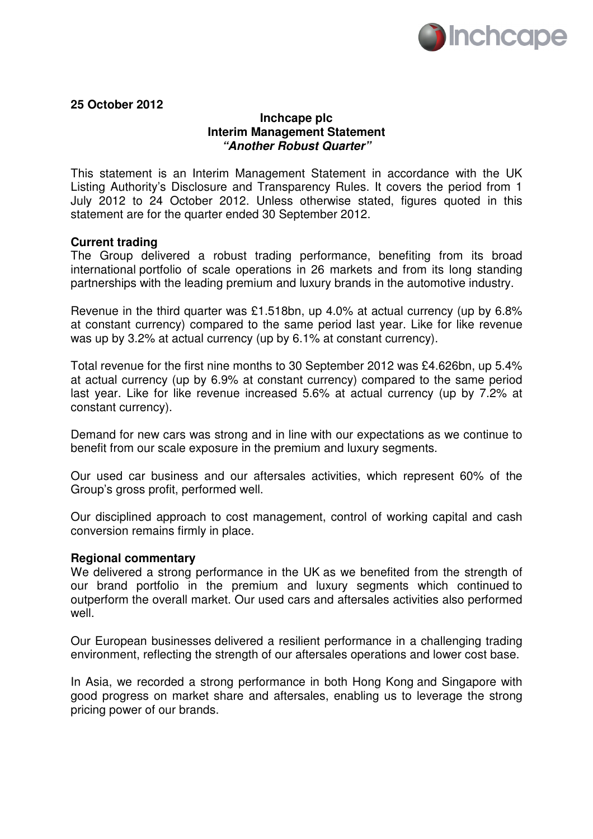

**25 October 2012** 

## **Inchcape plc Interim Management Statement "Another Robust Quarter"**

This statement is an Interim Management Statement in accordance with the UK Listing Authority's Disclosure and Transparency Rules. It covers the period from 1 July 2012 to 24 October 2012. Unless otherwise stated, figures quoted in this statement are for the quarter ended 30 September 2012.

## **Current trading**

The Group delivered a robust trading performance, benefiting from its broad international portfolio of scale operations in 26 markets and from its long standing partnerships with the leading premium and luxury brands in the automotive industry.

Revenue in the third quarter was £1.518bn, up 4.0% at actual currency (up by 6.8% at constant currency) compared to the same period last year. Like for like revenue was up by 3.2% at actual currency (up by 6.1% at constant currency).

Total revenue for the first nine months to 30 September 2012 was £4.626bn, up 5.4% at actual currency (up by 6.9% at constant currency) compared to the same period last year. Like for like revenue increased 5.6% at actual currency (up by 7.2% at constant currency).

Demand for new cars was strong and in line with our expectations as we continue to benefit from our scale exposure in the premium and luxury segments.

Our used car business and our aftersales activities, which represent 60% of the Group's gross profit, performed well.

Our disciplined approach to cost management, control of working capital and cash conversion remains firmly in place.

## **Regional commentary**

We delivered a strong performance in the UK as we benefited from the strength of our brand portfolio in the premium and luxury segments which continued to outperform the overall market. Our used cars and aftersales activities also performed well.

Our European businesses delivered a resilient performance in a challenging trading environment, reflecting the strength of our aftersales operations and lower cost base.

In Asia, we recorded a strong performance in both Hong Kong and Singapore with good progress on market share and aftersales, enabling us to leverage the strong pricing power of our brands.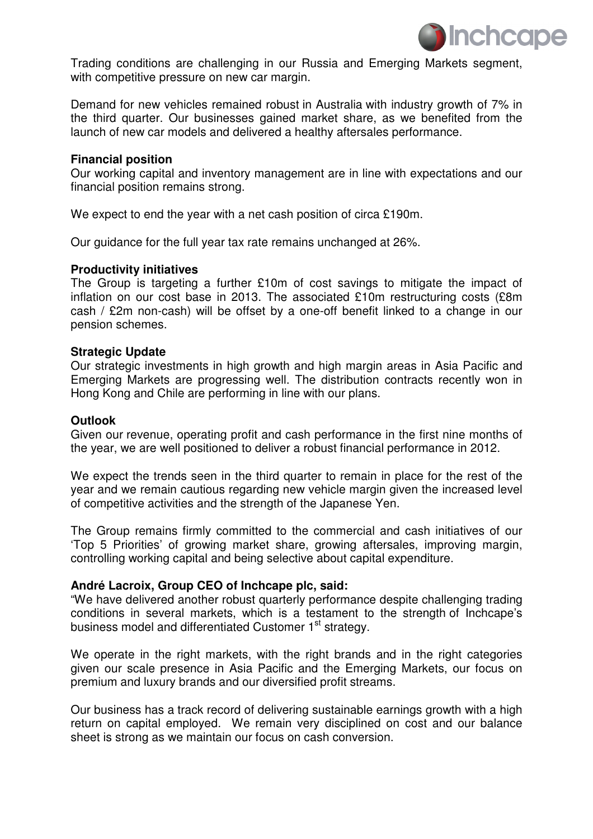

Trading conditions are challenging in our Russia and Emerging Markets segment, with competitive pressure on new car margin.

Demand for new vehicles remained robust in Australia with industry growth of 7% in the third quarter. Our businesses gained market share, as we benefited from the launch of new car models and delivered a healthy aftersales performance.

## **Financial position**

Our working capital and inventory management are in line with expectations and our financial position remains strong.

We expect to end the year with a net cash position of circa £190m.

Our guidance for the full year tax rate remains unchanged at 26%.

## **Productivity initiatives**

The Group is targeting a further £10m of cost savings to mitigate the impact of inflation on our cost base in 2013. The associated £10m restructuring costs (£8m cash / £2m non-cash) will be offset by a one-off benefit linked to a change in our pension schemes.

### **Strategic Update**

Our strategic investments in high growth and high margin areas in Asia Pacific and Emerging Markets are progressing well. The distribution contracts recently won in Hong Kong and Chile are performing in line with our plans.

### **Outlook**

Given our revenue, operating profit and cash performance in the first nine months of the year, we are well positioned to deliver a robust financial performance in 2012.

We expect the trends seen in the third quarter to remain in place for the rest of the year and we remain cautious regarding new vehicle margin given the increased level of competitive activities and the strength of the Japanese Yen.

The Group remains firmly committed to the commercial and cash initiatives of our 'Top 5 Priorities' of growing market share, growing aftersales, improving margin, controlling working capital and being selective about capital expenditure.

## **André Lacroix, Group CEO of Inchcape plc, said:**

"We have delivered another robust quarterly performance despite challenging trading conditions in several markets, which is a testament to the strength of Inchcape's business model and differentiated Customer 1<sup>st</sup> strategy.

We operate in the right markets, with the right brands and in the right categories given our scale presence in Asia Pacific and the Emerging Markets, our focus on premium and luxury brands and our diversified profit streams.

Our business has a track record of delivering sustainable earnings growth with a high return on capital employed. We remain very disciplined on cost and our balance sheet is strong as we maintain our focus on cash conversion.